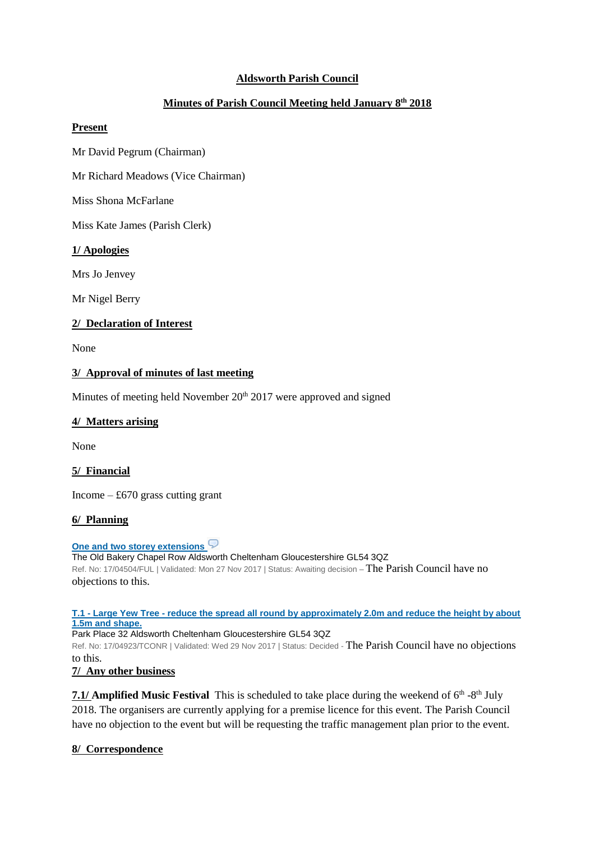## **Aldsworth Parish Council**

# **Minutes of Parish Council Meeting held January 8th 2018**

### **Present**

Mr David Pegrum (Chairman)

Mr Richard Meadows (Vice Chairman)

Miss Shona McFarlane

Miss Kate James (Parish Clerk)

### **1/ Apologies**

Mrs Jo Jenvey

Mr Nigel Berry

### **2/ Declaration of Interest**

None

### **3/ Approval of minutes of last meeting**

Minutes of meeting held November  $20<sup>th</sup> 2017$  were approved and signed

#### **4/ Matters arising**

None

### **5/ Financial**

Income  $-£670$  grass cutting grant

### **6/ Planning**

**[One and two storey extensions](https://publicaccess.cotswold.gov.uk/online-applications/applicationDetails.do?activeTab=summary&keyVal=OYOL1IFI02V00)** The Old Bakery Chapel Row Aldsworth Cheltenham Gloucestershire GL54 3QZ Ref. No: 17/04504/FUL | Validated: Mon 27 Nov 2017 | Status: Awaiting decision - The Parish Council have no objections to this.

#### **T.1 - Large Yew Tree - [reduce the spread all round by approximately 2.0m and reduce the height by about](https://publicaccess.cotswold.gov.uk/online-applications/applicationDetails.do?activeTab=summary&keyVal=P06MYIFIKH500)  [1.5m and shape.](https://publicaccess.cotswold.gov.uk/online-applications/applicationDetails.do?activeTab=summary&keyVal=P06MYIFIKH500)**

Park Place 32 Aldsworth Cheltenham Gloucestershire GL54 3QZ

Ref. No: 17/04923/TCONR | Validated: Wed 29 Nov 2017 | Status: Decided - The Parish Council have no objections to this.

### **7/ Any other business**

7.1/ **Amplified Music Festival** This is scheduled to take place during the weekend of 6<sup>th</sup> -8<sup>th</sup> July 2018. The organisers are currently applying for a premise licence for this event. The Parish Council have no objection to the event but will be requesting the traffic management plan prior to the event.

### **8/ Correspondence**